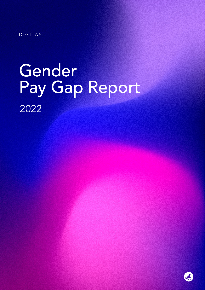DIGITAS

# Gender Pay Gap Report 2022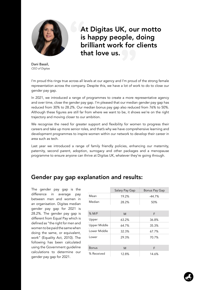

At Digitas UK, our motto is happy people, doing brilliant work for clients that love us.

Dani Bassil, *CEO of Digitas*

I'm proud this rings true across all levels at our agency and I'm proud of the strong female representation across the company. Despite this, we have a lot of work to do to close our gender pay gap.

In 2021, we introduced a range of programmes to create a more representative agency and over time, close the gender pay gap. I'm pleased that our median gender pay gap has reduced from 30% to 28.2%. Our median bonus pay gap also reduced from 76% to 50%. Although these figures are still far from where we want to be, it shows we're on the right trajectory and moving closer to our ambition.

We recognise the need for greater support and flexibility for women to progress their careers and take up more senior roles, and that's why we have comprehensive learning and development programmes to inspire women within our network to develop their career in area such as tech.

Last year we introduced a range of family friendly policies, enhancing our maternity, paternity, second parent, adoption, surrogacy and other packages and a menopause programme to ensure anyone can thrive at Digitas UK, whatever they're going through.

## Gender pay gap explanation and results:

The gender pay gap is the difference in average pay between men and women in an organisation. Digitas median gender pay gap for 2021 is 28.2%. The gender pay gap is different from Equal Pay which is defined as "the right for men and women to be paid the same when doing the same, or equivalent, work" (Equality Act, 2010). The following has been calculated using the Government guideline calculations to determine our gender pay gap for 2021.

|                     | Salary Pay Gap | Bonus Pay Gap |
|---------------------|----------------|---------------|
| Mean                | 19.2%          | $-44.7%$      |
| Median              | 28.2%          | 50%           |
| $%$ M/F             | M              | F             |
| Upper               | 63.2%          | 36.8%         |
| <b>Upper Middle</b> | 64.7%          | 35.3%         |
| Lower Middle        | 32.3%          | 67.7%         |
| Lower               | 29.3%          | 70.7%         |
| <b>Bonus</b>        | M              | F             |
| % Received          | 12.8%          | 14.6%         |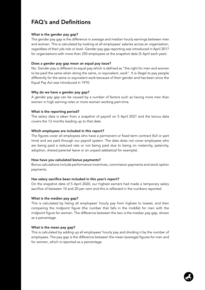# FAQ's and Definitions

#### What is the gender pay gap?

The gender pay gap is the difference in average and median hourly earnings between men and women. This is calculated by looking at all employees' salaries across an organisation, regardless of their job role or level. Gender pay gap reporting was introduced in April 2017 for organisations with more than 250 employees at the snapshot date (5 April each year).

#### Does a gender pay gap mean an equal pay issue?

No. Gender pay is different to equal pay which is defined as "the right for men and women to be paid the same when doing the same, or equivalent, work". It is illegal to pay people differently for the same or equivalent work because of their gender and has been since the Equal Pay Act was introduced in 1970.

#### Why do we have a gender pay gap?

A gender pay gap can be caused by a number of factors such as having more men than women in high earning roles or more women working part-time.

#### What is the reporting period?

The salary data is taken from a snapshot of payroll on 5 April 2021 and the bonus data covers the 12 months leading up to that date.

#### Which employees are included in this report?

The figures cover all employees who have a permanent or fixed term contract (full or part time) and are paid through our payroll system. The data does not cover employees who are being paid a reduced rate or not being paid due to being on maternity, paternity, adoption, shared parental leave or an unpaid sabbatical for example).

#### How have you calculated bonus payments?

Bonus calculations include performance incentives, commission payments and stock option payments.

#### Has salary sacrifice been included in this year's report?

On the snapshot date of 5 April 2020, our highest earners had made a temporary salary sacrifice of between 10 and 20 per cent and this is reflected in the numbers reported.

#### What is the median pay gap?

This is calculated by listing all employees' hourly pay from highest to lowest, and then comparing the midpoint figure (the number that falls in the middle) for men with the midpoint figure for women. The difference between the two is the median pay gap, shown as a percentage.

#### What is the mean pay gap?

This is calculated by adding up all employees' hourly pay and dividing it by the number of employees. The pay gap is the difference between the mean (average) figures for men and for women, which is reported as a percentage.

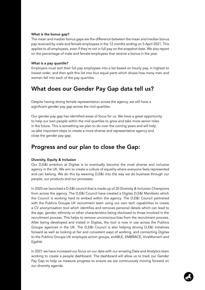#### What is the bonus gap?

The mean and median bonus gaps are the difference between the mean and median bonus pay received by male and female employees in the 12 months ending on 5 April 2021. This applies to all employees, even if they're not in full pay on the snapshot date. We also report on the percentage of male and female employees that receive a bonus in the year.

#### What is a pay quartile?

Employers must sort their full pay employees into a list based on hourly pay, in highest to lowest order, and then split this list into four equal parts which shows how many men and women fall into each of the pay quartiles.

## What does our Gender Pay Gap data tell us?

Despite having strong female representation across the agency, we still have a significant gender pay gap across the mid quartiles.

Our gender pay gap has identified areas of focus for us. We have a great opportunity to help our own people within the mid quartiles to grow and take more senior roles in the future. This is something we plan to do over the coming years and will help us take important steps to create a more diverse and representative agency and close the gender pay gap.

### Progress and our plan to close the Gap:

#### Diversity, Equity & Inclusion

Our D,E&I ambition at Digitas is to eventually become the most diverse and inclusive agency in the UK. We aim to create a culture of equality where everyone feels represented and can belong. We do this by weaving D,E&I into the way we do business through our people, our products and our processes.

In 2020 we launched a D,E&I council that is made up of 20 Diversity & Inclusion Champions from across the agency. The D,E&I Council have created a Digitas D,E&I Manifesto which the Council is working hard to embed within the agency. The D,E&I Council partnered with the Publicis Groupe UK recruitment team using our own tech capabilities to create a CV anonymisation tool which identifies and removes personal details which can lead to the age, gender, ethnicity or other characteristics being disclosed to those involved in the recruitment process. This helps to remove unconscious bias from the recruitment process. After being developed and trialed in Digitas, the tool is now in use across the Publicis Groupe agencies in the UK. The D,E&I Council is also helping driving D,E&I initiatives forward as well as looking at fair and consistent ways of working, and connecting Digitas to the Publicis Groupe UK employee action groups, enABLE, EMBRACE, VivaWomen! and Egalité.

In 2021 we have increased our focus on our data with our amazing Data and Analytics team working to create a people dashboard. The dashboard will allow us to track our Gender Pay Gap to help us measure progress to ensure we are continuously moving forward on our diversity agenda.

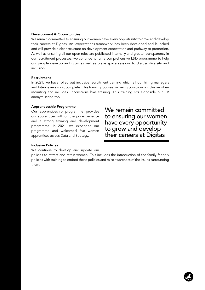#### Development & Opportunities

We remain committed to ensuring our women have every opportunity to grow and develop their careers at Digitas. An 'expectations framework' has been developed and launched and will provide a clear structure on development expectation and pathway to promotion. As well as ensuring all our open roles are publicised internally and greater transparency in our recruitment processes, we continue to run a comprehensive L&D programme to help our people develop and grow as well as brave space sessions to discuss diversity and inclusion.

#### Recruitment

In 2021, we have rolled out inclusive recruitment training which all our hiring managers and Interviewers must complete. This training focuses on being consciously inclusive when recruiting and includes unconscious bias training. This training sits alongside our CV anonymisation tool.

#### Apprenticeship Programme

Our apprenticeship programme provides our apprentices with on the job experience and a strong training and development programme. In 2021, we expanded our programme and welcomed five women apprentices across Data and Strategy.

We remain committed to ensuring our women have every opportunity to grow and develop their careers at Digitas

#### Inclusive Policies

We continue to develop and update our

policies to attract and retain women. This includes the introduction of the family friendly policies with training to embed these policies and raise awareness of the issues surrounding them.